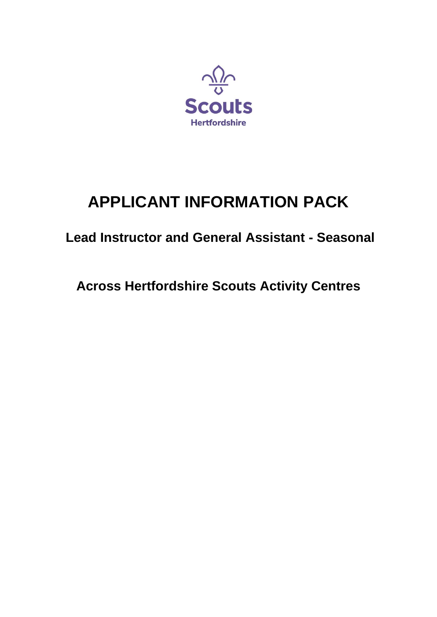

# **APPLICANT INFORMATION PACK**

# **Lead Instructor and General Assistant - Seasonal**

**Across Hertfordshire Scouts Activity Centres**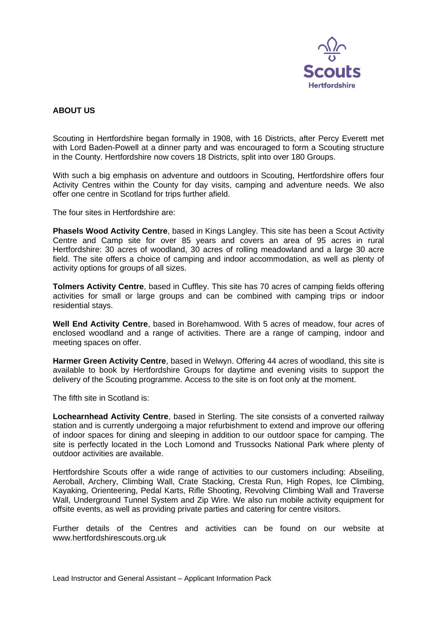

### **ABOUT US**

Scouting in Hertfordshire began formally in 1908, with 16 Districts, after Percy Everett met with Lord Baden-Powell at a dinner party and was encouraged to form a Scouting structure in the County. Hertfordshire now covers 18 Districts, split into over 180 Groups.

With such a big emphasis on adventure and outdoors in Scouting, Hertfordshire offers four Activity Centres within the County for day visits, camping and adventure needs. We also offer one centre in Scotland for trips further afield.

The four sites in Hertfordshire are:

**Phasels Wood Activity Centre**, based in Kings Langley. This site has been a Scout Activity Centre and Camp site for over 85 years and covers an area of 95 acres in rural Hertfordshire: 30 acres of woodland, 30 acres of rolling meadowland and a large 30 acre field. The site offers a choice of camping and indoor accommodation, as well as plenty of activity options for groups of all sizes.

**Tolmers Activity Centre**, based in Cuffley. This site has 70 acres of camping fields offering activities for small or large groups and can be combined with camping trips or indoor residential stays.

**Well End Activity Centre**, based in Borehamwood. With 5 acres of meadow, four acres of enclosed woodland and a range of activities. There are a range of camping, indoor and meeting spaces on offer.

**Harmer Green Activity Centre**, based in Welwyn. Offering 44 acres of woodland, this site is available to book by Hertfordshire Groups for daytime and evening visits to support the delivery of the Scouting programme. Access to the site is on foot only at the moment.

The fifth site in Scotland is:

**Lochearnhead Activity Centre**, based in Sterling. The site consists of a converted railway station and is currently undergoing a major refurbishment to extend and improve our offering of indoor spaces for dining and sleeping in addition to our outdoor space for camping. The site is perfectly located in the Loch Lomond and Trussocks National Park where plenty of outdoor activities are available.

Hertfordshire Scouts offer a wide range of activities to our customers including: Abseiling, Aeroball, Archery, Climbing Wall, Crate Stacking, Cresta Run, High Ropes, Ice Climbing, Kayaking, Orienteering, Pedal Karts, Rifle Shooting, Revolving Climbing Wall and Traverse Wall, Underground Tunnel System and Zip Wire. We also run mobile activity equipment for offsite events, as well as providing private parties and catering for centre visitors.

Further details of the Centres and activities can be found on our website at www.hertfordshirescouts.org.uk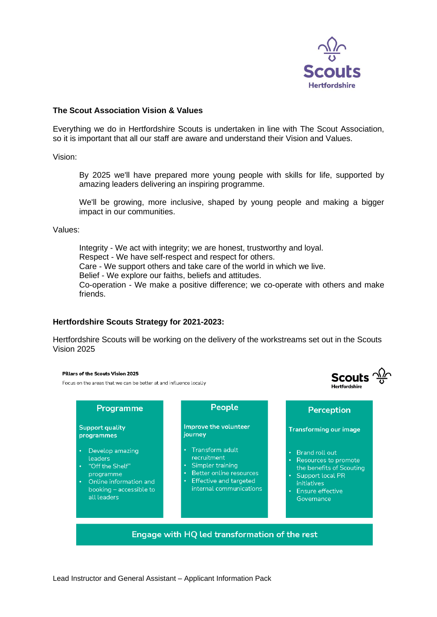

Scouts  $\frac{\sqrt{2}}{9}$ 

u<br>Lloetfordebire

#### **The Scout Association Vision & Values**

Everything we do in Hertfordshire Scouts is undertaken in line with The Scout Association, so it is important that all our staff are aware and understand their Vision and Values.

Vision:

By 2025 we'll have prepared more young people with skills for life, supported by amazing leaders delivering an inspiring programme.

We'll be growing, more inclusive, shaped by young people and making a bigger impact in our communities.

Values:

Integrity - We act with integrity; we are honest, trustworthy and loyal. Respect - We have self-respect and respect for others. Care - We support others and take care of the world in which we live. Belief - We explore our faiths, beliefs and attitudes. Co-operation - We make a positive difference; we co-operate with others and make friends.

#### **Hertfordshire Scouts Strategy for 2021-2023:**

Hertfordshire Scouts will be working on the delivery of the workstreams set out in the Scouts Vision 2025

#### Pillars of the Scouts Vision 2025

Focus on the areas that we can be better at and influence locally

| Programme                                                                                                                                   | People                                                                                                                                               | Perception                                                                                                                                                                                         |
|---------------------------------------------------------------------------------------------------------------------------------------------|------------------------------------------------------------------------------------------------------------------------------------------------------|----------------------------------------------------------------------------------------------------------------------------------------------------------------------------------------------------|
| <b>Support quality</b><br>programmes                                                                                                        | Improve the volunteer<br>journey                                                                                                                     | <b>Transforming our image</b>                                                                                                                                                                      |
| Develop amazing<br>leaders<br>"Off the Shelf"<br>programme<br>Online information and<br>$\bullet$<br>booking – accessible to<br>all leaders | Transform adult<br>recruitment<br>Simpler training<br>٠<br>Better online resources<br>Effective and targeted<br>$\bullet$<br>internal communications | <b>Brand roll out</b><br>$\bullet$<br>Resources to promote<br>$\bullet$<br>the benefits of Scouting<br>Support local PR<br>$\bullet$<br>initiatives<br>Ensure effective<br>$\bullet$<br>Governance |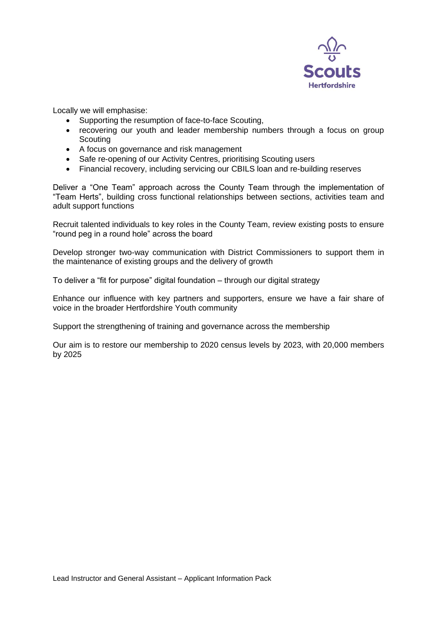

Locally we will emphasise:

- Supporting the resumption of face-to-face Scouting,
- recovering our youth and leader membership numbers through a focus on group **Scouting**
- A focus on governance and risk management
- Safe re-opening of our Activity Centres, prioritising Scouting users
- Financial recovery, including servicing our CBILS loan and re-building reserves

Deliver a "One Team" approach across the County Team through the implementation of "Team Herts", building cross functional relationships between sections, activities team and adult support functions

Recruit talented individuals to key roles in the County Team, review existing posts to ensure "round peg in a round hole" across the board

Develop stronger two-way communication with District Commissioners to support them in the maintenance of existing groups and the delivery of growth

To deliver a "fit for purpose" digital foundation – through our digital strategy

Enhance our influence with key partners and supporters, ensure we have a fair share of voice in the broader Hertfordshire Youth community

Support the strengthening of training and governance across the membership

Our aim is to restore our membership to 2020 census levels by 2023, with 20,000 members by 2025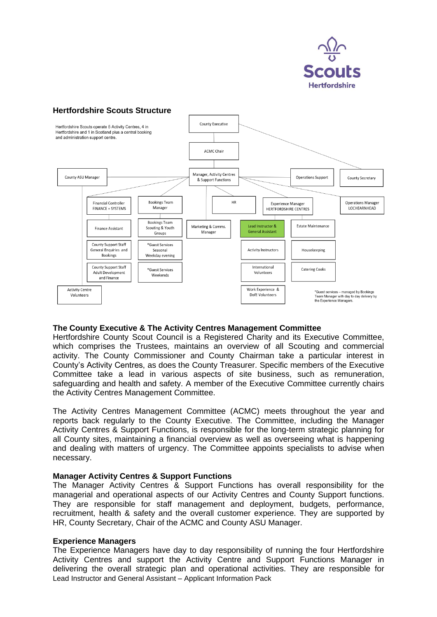

## **Hertfordshire Scouts Structure**



#### **The County Executive & The Activity Centres Management Committee**

Hertfordshire County Scout Council is a Registered Charity and its Executive Committee, which comprises the Trustees, maintains an overview of all Scouting and commercial activity. The County Commissioner and County Chairman take a particular interest in County's Activity Centres, as does the County Treasurer. Specific members of the Executive Committee take a lead in various aspects of site business, such as remuneration, safeguarding and health and safety. A member of the Executive Committee currently chairs the Activity Centres Management Committee.

The Activity Centres Management Committee (ACMC) meets throughout the year and reports back regularly to the County Executive. The Committee, including the Manager Activity Centres & Support Functions, is responsible for the long-term strategic planning for all County sites, maintaining a financial overview as well as overseeing what is happening and dealing with matters of urgency. The Committee appoints specialists to advise when necessary.

#### **Manager Activity Centres & Support Functions**

The Manager Activity Centres & Support Functions has overall responsibility for the managerial and operational aspects of our Activity Centres and County Support functions. They are responsible for staff management and deployment, budgets, performance, recruitment, health & safety and the overall customer experience. They are supported by HR, County Secretary, Chair of the ACMC and County ASU Manager.

#### **Experience Managers**

Lead Instructor and General Assistant – Applicant Information Pack The Experience Managers have day to day responsibility of running the four Hertfordshire Activity Centres and support the Activity Centre and Support Functions Manager in delivering the overall strategic plan and operational activities. They are responsible for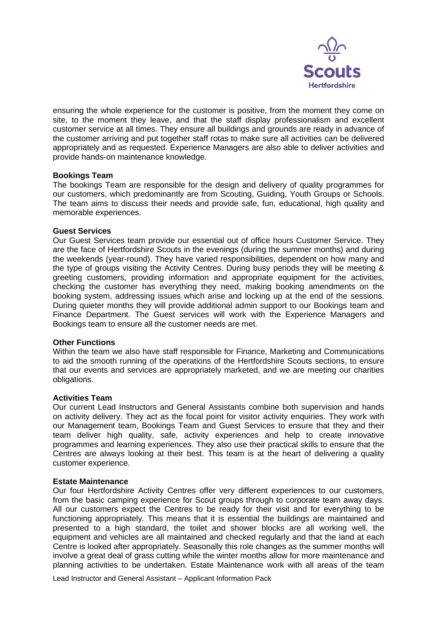

ensuring the whole experience for the customer is positive, from the moment they come on site, to the moment they leave, and that the staff display professionalism and excellent customer service at all times. They ensure all buildings and grounds are ready in advance of the customer arriving and put together staff rotas to make sure all activities can be delivered appropriately and as requested. Experience Managers are also able to deliver activities and provide hands-on maintenance knowledge.

#### **Bookings Team**

The bookings Team are responsible for the design and delivery of quality programmes for our customers, which predominantly are from Scouting, Guiding, Youth Groups or Schools. The team aims to discuss their needs and provide safe, fun, educational, high quality and memorable experiences.

#### **Guest Services**

Our Guest Services team provide our essential out of office hours Customer Service. They are the face of Hertfordshire Scouts in the evenings (during the summer months) and during the weekends (year-round). They have varied responsibilities, dependent on how many and the type of groups visiting the Activity Centres. During busy periods they will be meeting & greeting customers, providing information and appropriate equipment for the activities, checking the customer has everything they need, making booking amendments on the booking system, addressing issues which arise and locking up at the end of the sessions. During quieter months they will provide additional admin support to our Bookings team and Finance Department. The Guest services will work with the Experience Managers and Bookings team to ensure all the customer needs are met.

#### **Other Functions**

Within the team we also have staff responsible for Finance, Marketing and Communications to aid the smooth running of the operations of the Hertfordshire Scouts sections, to ensure that our events and services are appropriately marketed, and we are meeting our charities obligations.

#### **Activities Team**

Our current Lead Instructors and General Assistants combine both supervision and hands on activity delivery. They act as the focal point for visitor activity enquiries. They work with our Management team, Bookings Team and Guest Services to ensure that they and their team deliver high quality, safe, activity experiences and help to create innovative programmes and learning experiences. They also use their practical skills to ensure that the Centres are always looking at their best. This team is at the heart of delivering a quality customer experience.

#### **Estate Maintenance**

Our four Hertfordshire Activity Centres offer very different experiences to our customers, from the basic camping experience for Scout groups through to corporate team away days. All our customers expect the Centres to be ready for their visit and for everything to be functioning appropriately. This means that it is essential the buildings are maintained and presented to a high standard, the toilet and shower blocks are all working well, the equipment and vehicles are all maintained and checked regularly and that the land at each Centre is looked after appropriately. Seasonally this role changes as the summer months will involve a great deal of grass cutting while the winter months allow for more maintenance and planning activities to be undertaken. Estate Maintenance work with all areas of the team

Lead Instructor and General Assistant – Applicant Information Pack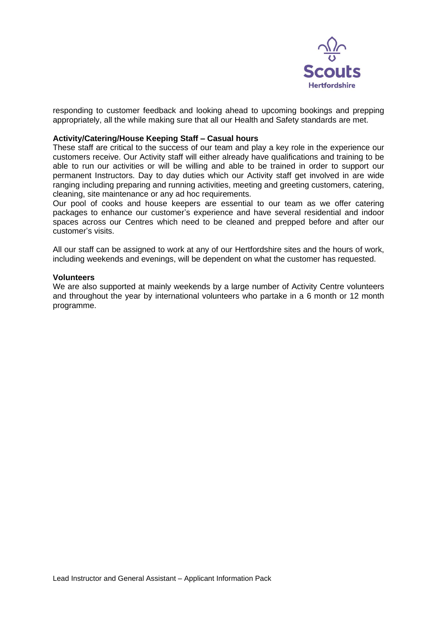

responding to customer feedback and looking ahead to upcoming bookings and prepping appropriately, all the while making sure that all our Health and Safety standards are met.

#### **Activity/Catering/House Keeping Staff – Casual hours**

These staff are critical to the success of our team and play a key role in the experience our customers receive. Our Activity staff will either already have qualifications and training to be able to run our activities or will be willing and able to be trained in order to support our permanent Instructors. Day to day duties which our Activity staff get involved in are wide ranging including preparing and running activities, meeting and greeting customers, catering, cleaning, site maintenance or any ad hoc requirements.

Our pool of cooks and house keepers are essential to our team as we offer catering packages to enhance our customer's experience and have several residential and indoor spaces across our Centres which need to be cleaned and prepped before and after our customer's visits.

All our staff can be assigned to work at any of our Hertfordshire sites and the hours of work, including weekends and evenings, will be dependent on what the customer has requested.

#### **Volunteers**

We are also supported at mainly weekends by a large number of Activity Centre volunteers and throughout the year by international volunteers who partake in a 6 month or 12 month programme.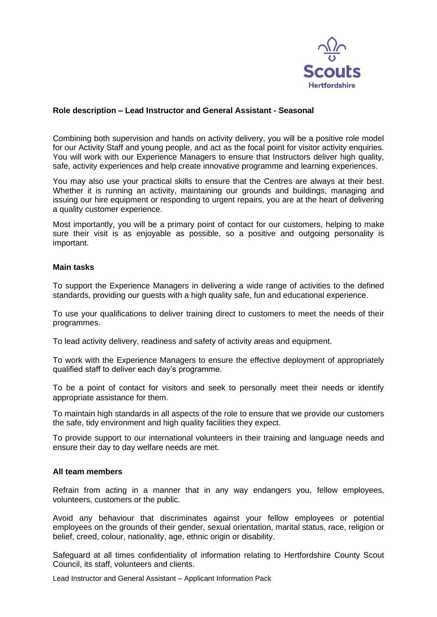

#### **Role description – Lead Instructor and General Assistant - Seasonal**

Combining both supervision and hands on activity delivery, you will be a positive role model for our Activity Staff and young people, and act as the focal point for visitor activity enquiries. You will work with our Experience Managers to ensure that Instructors deliver high quality, safe, activity experiences and help create innovative programme and learning experiences.

You may also use your practical skills to ensure that the Centres are always at their best. Whether it is running an activity, maintaining our grounds and buildings, managing and issuing our hire equipment or responding to urgent repairs, you are at the heart of delivering a quality customer experience.

Most importantly, you will be a primary point of contact for our customers, helping to make sure their visit is as enjoyable as possible, so a positive and outgoing personality is important.

#### **Main tasks**

To support the Experience Managers in delivering a wide range of activities to the defined standards, providing our guests with a high quality safe, fun and educational experience.

To use your qualifications to deliver training direct to customers to meet the needs of their programmes.

To lead activity delivery, readiness and safety of activity areas and equipment.

To work with the Experience Managers to ensure the effective deployment of appropriately qualified staff to deliver each day's programme.

To be a point of contact for visitors and seek to personally meet their needs or identify appropriate assistance for them.

To maintain high standards in all aspects of the role to ensure that we provide our customers the safe, tidy environment and high quality facilities they expect.

To provide support to our international volunteers in their training and language needs and ensure their day to day welfare needs are met.

#### **All team members**

Refrain from acting in a manner that in any way endangers you, fellow employees, volunteers, customers or the public.

Avoid any behaviour that discriminates against your fellow employees or potential employees on the grounds of their gender, sexual orientation, marital status, race, religion or belief, creed, colour, nationality, age, ethnic origin or disability.

Safeguard at all times confidentiality of information relating to Hertfordshire County Scout Council, its staff, volunteers and clients.

Lead Instructor and General Assistant – Applicant Information Pack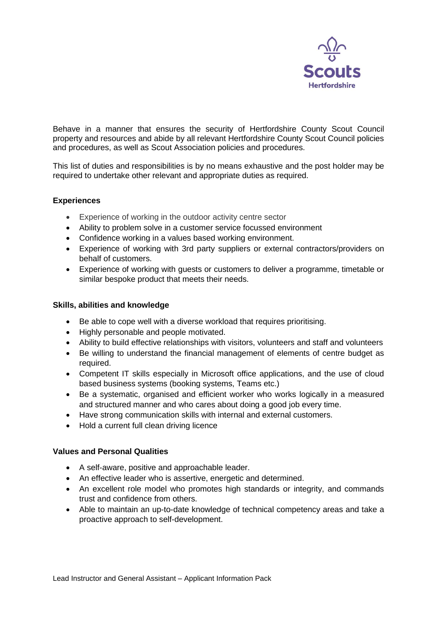

Behave in a manner that ensures the security of Hertfordshire County Scout Council property and resources and abide by all relevant Hertfordshire County Scout Council policies and procedures, as well as Scout Association policies and procedures.

This list of duties and responsibilities is by no means exhaustive and the post holder may be required to undertake other relevant and appropriate duties as required.

#### **Experiences**

- Experience of working in the outdoor activity centre sector
- Ability to problem solve in a customer service focussed environment
- Confidence working in a values based working environment.
- Experience of working with 3rd party suppliers or external contractors/providers on behalf of customers.
- Experience of working with guests or customers to deliver a programme, timetable or similar bespoke product that meets their needs.

#### **Skills, abilities and knowledge**

- Be able to cope well with a diverse workload that requires prioritising.
- Highly personable and people motivated.
- Ability to build effective relationships with visitors, volunteers and staff and volunteers
- Be willing to understand the financial management of elements of centre budget as required.
- Competent IT skills especially in Microsoft office applications, and the use of cloud based business systems (booking systems, Teams etc.)
- Be a systematic, organised and efficient worker who works logically in a measured and structured manner and who cares about doing a good job every time.
- Have strong communication skills with internal and external customers.
- Hold a current full clean driving licence

#### **Values and Personal Qualities**

- A self-aware, positive and approachable leader.
- An effective leader who is assertive, energetic and determined.
- An excellent role model who promotes high standards or integrity, and commands trust and confidence from others.
- Able to maintain an up-to-date knowledge of technical competency areas and take a proactive approach to self-development.